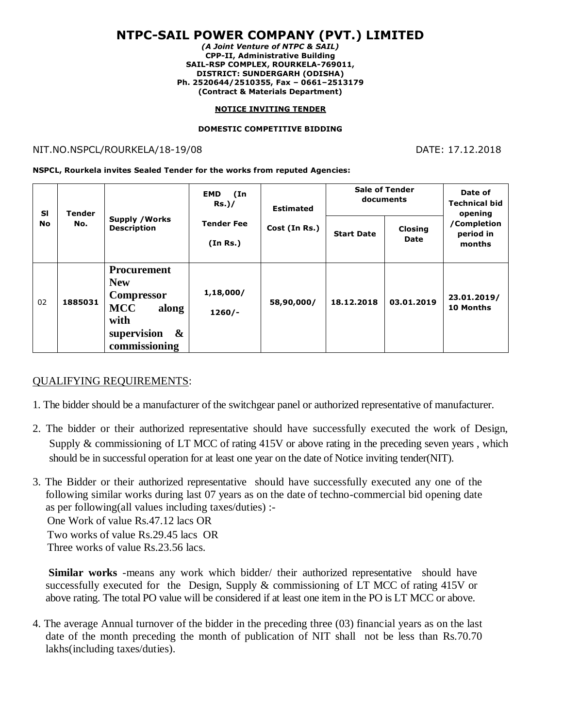# **NTPC-SAIL POWER COMPANY (PVT.) LIMITED**

*(A Joint Venture of NTPC & SAIL)* **CPP-II, Administrative Building SAIL-RSP COMPLEX, ROURKELA-769011, DISTRICT: SUNDERGARH (ODISHA) Ph. 2520644/2510355, Fax – 0661–2513179 (Contract & Materials Department)**

### **NOTICE INVITING TENDER**

### **DOMESTIC COMPETITIVE BIDDING**

### NIT.NO.NSPCL/ROURKELA/18-19/08 DATE: 17.12.2018

**NSPCL, Rourkela invites Sealed Tender for the works from reputed Agencies:**

| <b>SI</b><br>No | Tender<br>No. | <b>Supply / Works</b><br><b>Description</b>                                                                                                   | (In<br><b>EMD</b><br>Rs.)/    | <b>Estimated</b><br>Cost (In Rs.) | <b>Sale of Tender</b><br>documents |                 | Date of<br><b>Technical bid</b><br>opening |
|-----------------|---------------|-----------------------------------------------------------------------------------------------------------------------------------------------|-------------------------------|-----------------------------------|------------------------------------|-----------------|--------------------------------------------|
|                 |               |                                                                                                                                               | <b>Tender Fee</b><br>(In Rs.) |                                   | <b>Start Date</b>                  | Closing<br>Date | /Completion<br>period in<br>months         |
| 02              | 1885031       | <b>Procurement</b><br><b>New</b><br><b>Compressor</b><br><b>MCC</b><br>along<br>with<br>supervision<br>$\boldsymbol{\alpha}$<br>commissioning | 1,18,000/<br>$1260/-$         | 58,90,000/                        | 18.12.2018                         | 03.01.2019      | 23.01.2019/<br>10 Months                   |

## QUALIFYING REQUIREMENTS:

- 1. The bidder should be a manufacturer of the switchgear panel or authorized representative of manufacturer.
- 2. The bidder or their authorized representative should have successfully executed the work of Design, Supply & commissioning of LT MCC of rating 415V or above rating in the preceding seven years , which should be in successful operation for at least one year on the date of Notice inviting tender(NIT).
- 3. The Bidder or their authorized representative should have successfully executed any one of the following similar works during last 07 years as on the date of techno-commercial bid opening date as per following(all values including taxes/duties) :- One Work of value Rs.47.12 lacs OR Two works of value Rs.29.45 lacs OR Three works of value Rs.23.56 lacs.

**Similar works** -means any work which bidder/ their authorized representative should have successfully executed for the Design, Supply & commissioning of LT MCC of rating 415V or above rating. The total PO value will be considered if at least one item in the PO is LT MCC or above.

4. The average Annual turnover of the bidder in the preceding three (03) financial years as on the last date of the month preceding the month of publication of NIT shall not be less than Rs.70.70 lakhs(including taxes/duties).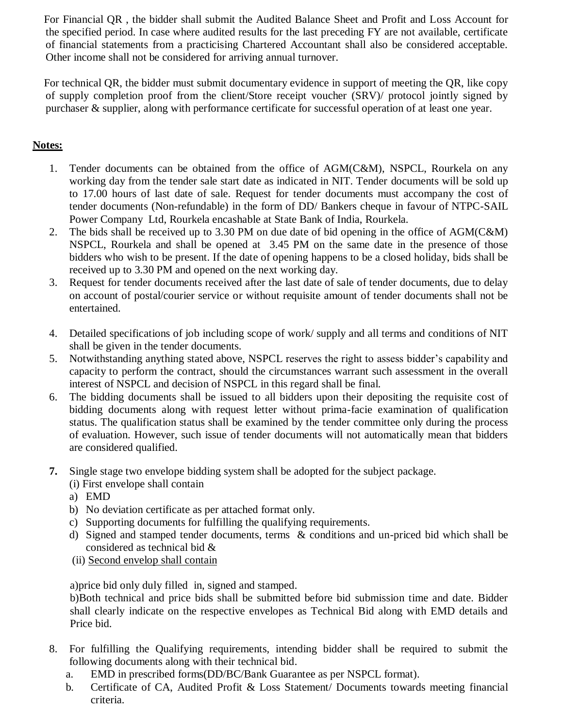For Financial QR , the bidder shall submit the Audited Balance Sheet and Profit and Loss Account for the specified period. In case where audited results for the last preceding FY are not available, certificate of financial statements from a practicising Chartered Accountant shall also be considered acceptable. Other income shall not be considered for arriving annual turnover.

 For technical QR, the bidder must submit documentary evidence in support of meeting the QR, like copy of supply completion proof from the client/Store receipt voucher (SRV)/ protocol jointly signed by purchaser & supplier, along with performance certificate for successful operation of at least one year.

## **Notes:**

- 1. Tender documents can be obtained from the office of AGM(C&M), NSPCL, Rourkela on any working day from the tender sale start date as indicated in NIT. Tender documents will be sold up to 17.00 hours of last date of sale. Request for tender documents must accompany the cost of tender documents (Non-refundable) in the form of DD/ Bankers cheque in favour of NTPC-SAIL Power Company Ltd, Rourkela encashable at State Bank of India, Rourkela.
- 2. The bids shall be received up to 3.30 PM on due date of bid opening in the office of AGM(C&M) NSPCL, Rourkela and shall be opened at 3.45 PM on the same date in the presence of those bidders who wish to be present. If the date of opening happens to be a closed holiday, bids shall be received up to 3.30 PM and opened on the next working day.
- 3. Request for tender documents received after the last date of sale of tender documents, due to delay on account of postal/courier service or without requisite amount of tender documents shall not be entertained.
- 4. Detailed specifications of job including scope of work/ supply and all terms and conditions of NIT shall be given in the tender documents.
- 5. Notwithstanding anything stated above, NSPCL reserves the right to assess bidder's capability and capacity to perform the contract, should the circumstances warrant such assessment in the overall interest of NSPCL and decision of NSPCL in this regard shall be final.
- 6. The bidding documents shall be issued to all bidders upon their depositing the requisite cost of bidding documents along with request letter without prima-facie examination of qualification status. The qualification status shall be examined by the tender committee only during the process of evaluation. However, such issue of tender documents will not automatically mean that bidders are considered qualified.
- **7.** Single stage two envelope bidding system shall be adopted for the subject package.
	- (i) First envelope shall contain
	- a) EMD
	- b) No deviation certificate as per attached format only.
	- c) Supporting documents for fulfilling the qualifying requirements.
	- d) Signed and stamped tender documents, terms & conditions and un-priced bid which shall be considered as technical bid &
	- (ii) Second envelop shall contain

a)price bid only duly filled in, signed and stamped.

b)Both technical and price bids shall be submitted before bid submission time and date. Bidder shall clearly indicate on the respective envelopes as Technical Bid along with EMD details and Price bid.

- 8. For fulfilling the Qualifying requirements, intending bidder shall be required to submit the following documents along with their technical bid.
	- a. EMD in prescribed forms(DD/BC/Bank Guarantee as per NSPCL format).
	- b. Certificate of CA, Audited Profit & Loss Statement/ Documents towards meeting financial criteria.